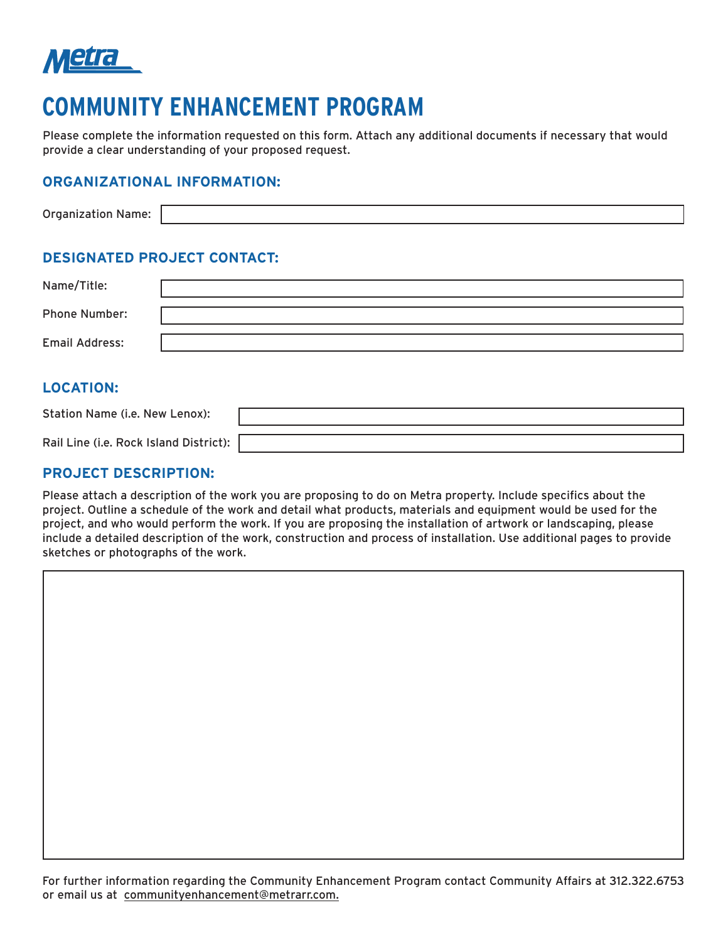

# **COMMUNITY ENHANCEMENT PROGRAM**

Please complete the information requested on this form. Attach any additional documents if necessary that would provide a clear understanding of your proposed request.

#### **ORGANIZATIONAL INFORMATION:**

| Orga<br>me.<br>iizatioi |  |
|-------------------------|--|

### **DESIGNATED PROJECT CONTACT:**

| Name/Title:           |  |
|-----------------------|--|
| <b>Phone Number:</b>  |  |
| <b>Email Address:</b> |  |

#### **LOCATION:**

| Station Name (i.e. New Lenox):         |  |
|----------------------------------------|--|
| Rail Line (i.e. Rock Island District): |  |

#### **PROJECT DESCRIPTION:**

Please attach a description of the work you are proposing to do on Metra property. Include specifics about the project. Outline a schedule of the work and detail what products, materials and equipment would be used for the project, and who would perform the work. If you are proposing the installation of artwork or landscaping, please include a detailed description of the work, construction and process of installation. Use additional pages to provide sketches or photographs of the work.